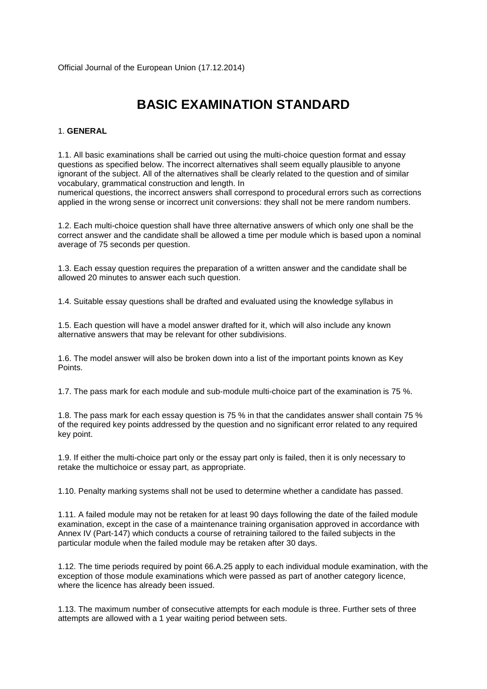# **BASIC EXAMINATION STANDARD**

# 1. **GENERAL**

1.1. All basic examinations shall be carried out using the multi-choice question format and essay questions as specified below. The incorrect alternatives shall seem equally plausible to anyone ignorant of the subject. All of the alternatives shall be clearly related to the question and of similar vocabulary, grammatical construction and length. In

numerical questions, the incorrect answers shall correspond to procedural errors such as corrections applied in the wrong sense or incorrect unit conversions: they shall not be mere random numbers.

1.2. Each multi-choice question shall have three alternative answers of which only one shall be the correct answer and the candidate shall be allowed a time per module which is based upon a nominal average of 75 seconds per question.

1.3. Each essay question requires the preparation of a written answer and the candidate shall be allowed 20 minutes to answer each such question.

1.4. Suitable essay questions shall be drafted and evaluated using the knowledge syllabus in

1.5. Each question will have a model answer drafted for it, which will also include any known alternative answers that may be relevant for other subdivisions.

1.6. The model answer will also be broken down into a list of the important points known as Key Points.

1.7. The pass mark for each module and sub-module multi-choice part of the examination is 75 %.

1.8. The pass mark for each essay question is 75 % in that the candidates answer shall contain 75 % of the required key points addressed by the question and no significant error related to any required key point.

1.9. If either the multi-choice part only or the essay part only is failed, then it is only necessary to retake the multichoice or essay part, as appropriate.

1.10. Penalty marking systems shall not be used to determine whether a candidate has passed.

1.11. A failed module may not be retaken for at least 90 days following the date of the failed module examination, except in the case of a maintenance training organisation approved in accordance with Annex IV (Part-147) which conducts a course of retraining tailored to the failed subjects in the particular module when the failed module may be retaken after 30 days.

1.12. The time periods required by point 66.A.25 apply to each individual module examination, with the exception of those module examinations which were passed as part of another category licence, where the licence has already been issued.

1.13. The maximum number of consecutive attempts for each module is three. Further sets of three attempts are allowed with a 1 year waiting period between sets.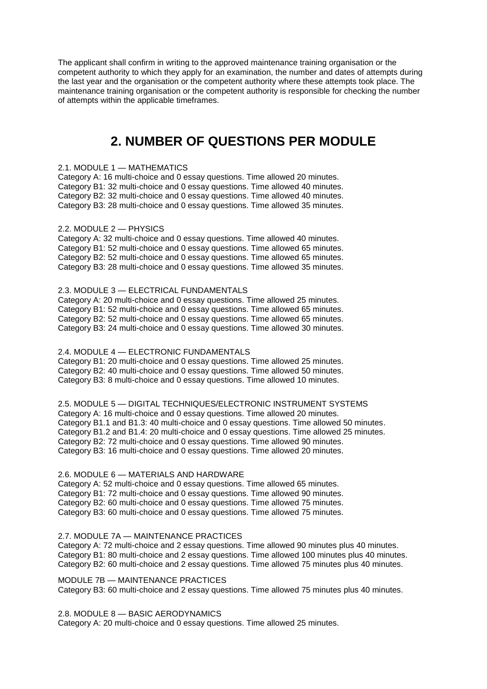The applicant shall confirm in writing to the approved maintenance training organisation or the competent authority to which they apply for an examination, the number and dates of attempts during the last year and the organisation or the competent authority where these attempts took place. The maintenance training organisation or the competent authority is responsible for checking the number of attempts within the applicable timeframes.

# **2. NUMBER OF QUESTIONS PER MODULE**

#### 2.1. MODULE 1 — MATHEMATICS

Category A: 16 multi-choice and 0 essay questions. Time allowed 20 minutes. Category B1: 32 multi-choice and 0 essay questions. Time allowed 40 minutes. Category B2: 32 multi-choice and 0 essay questions. Time allowed 40 minutes. Category B3: 28 multi-choice and 0 essay questions. Time allowed 35 minutes.

### 2.2. MODULE 2 — PHYSICS

Category A: 32 multi-choice and 0 essay questions. Time allowed 40 minutes. Category B1: 52 multi-choice and 0 essay questions. Time allowed 65 minutes. Category B2: 52 multi-choice and 0 essay questions. Time allowed 65 minutes. Category B3: 28 multi-choice and 0 essay questions. Time allowed 35 minutes.

## 2.3. MODULE 3 — ELECTRICAL FUNDAMENTALS

Category A: 20 multi-choice and 0 essay questions. Time allowed 25 minutes. Category B1: 52 multi-choice and 0 essay questions. Time allowed 65 minutes. Category B2: 52 multi-choice and 0 essay questions. Time allowed 65 minutes. Category B3: 24 multi-choice and 0 essay questions. Time allowed 30 minutes.

#### 2.4. MODULE 4 — ELECTRONIC FUNDAMENTALS

Category B1: 20 multi-choice and 0 essay questions. Time allowed 25 minutes. Category B2: 40 multi-choice and 0 essay questions. Time allowed 50 minutes. Category B3: 8 multi-choice and 0 essay questions. Time allowed 10 minutes.

2.5. MODULE 5 — DIGITAL TECHNIQUES/ELECTRONIC INSTRUMENT SYSTEMS Category A: 16 multi-choice and 0 essay questions. Time allowed 20 minutes. Category B1.1 and B1.3: 40 multi-choice and 0 essay questions. Time allowed 50 minutes. Category B1.2 and B1.4: 20 multi-choice and 0 essay questions. Time allowed 25 minutes. Category B2: 72 multi-choice and 0 essay questions. Time allowed 90 minutes. Category B3: 16 multi-choice and 0 essay questions. Time allowed 20 minutes.

#### 2.6. MODULE 6 — MATERIALS AND HARDWARE

Category A: 52 multi-choice and 0 essay questions. Time allowed 65 minutes. Category B1: 72 multi-choice and 0 essay questions. Time allowed 90 minutes. Category B2: 60 multi-choice and 0 essay questions. Time allowed 75 minutes. Category B3: 60 multi-choice and 0 essay questions. Time allowed 75 minutes.

### 2.7. MODULE 7A — MAINTENANCE PRACTICES

Category A: 72 multi-choice and 2 essay questions. Time allowed 90 minutes plus 40 minutes. Category B1: 80 multi-choice and 2 essay questions. Time allowed 100 minutes plus 40 minutes. Category B2: 60 multi-choice and 2 essay questions. Time allowed 75 minutes plus 40 minutes.

### MODULE 7B — MAINTENANCE PRACTICES

Category B3: 60 multi-choice and 2 essay questions. Time allowed 75 minutes plus 40 minutes.

2.8. MODULE 8 — BASIC AERODYNAMICS

Category A: 20 multi-choice and 0 essay questions. Time allowed 25 minutes.